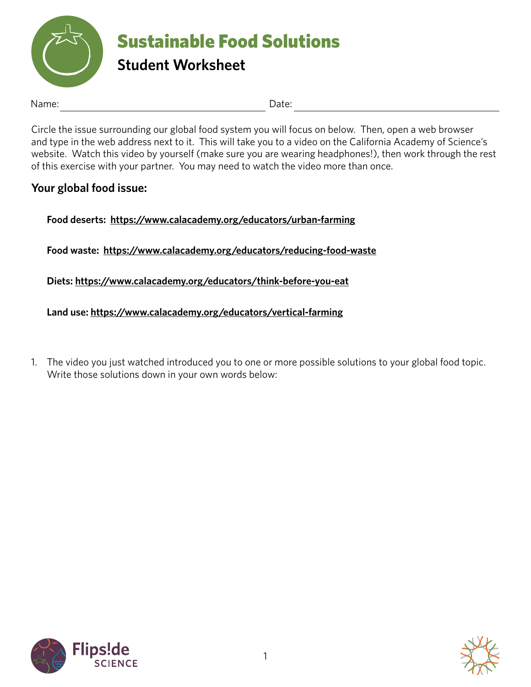

Name: Date:

Circle the issue surrounding our global food system you will focus on below. Then, open a web browser and type in the web address next to it. This will take you to a video on the California Academy of Science's website. Watch this video by yourself (make sure you are wearing headphones!), then work through the rest of this exercise with your partner. You may need to watch the video more than once.

## **Your global food issue:**

**Food deserts: <https://www.calacademy.org/educators/urban-farming>**

**Food waste: <https://www.calacademy.org/educators/reducing-food-waste>**

**Diets: <https://www.calacademy.org/educators/think-before-you-eat>**

**Land use: <https://www.calacademy.org/educators/vertical-farming>**

1. The video you just watched introduced you to one or more possible solutions to your global food topic. Write those solutions down in your own words below:



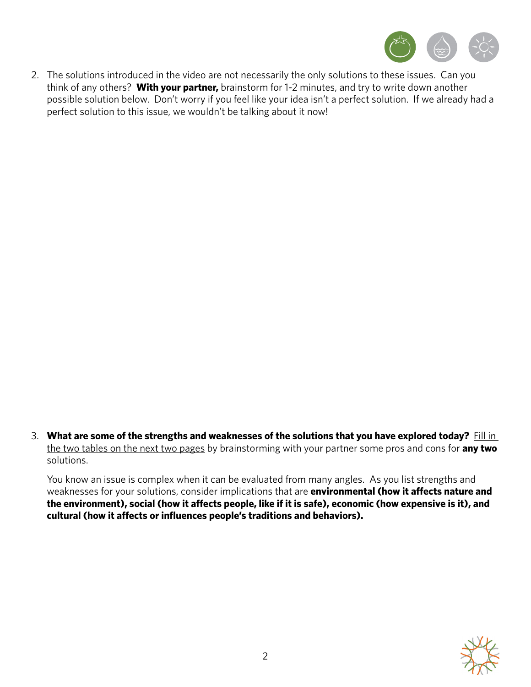

2. The solutions introduced in the video are not necessarily the only solutions to these issues. Can you think of any others? **With your partner,** brainstorm for 1-2 minutes, and try to write down another possible solution below. Don't worry if you feel like your idea isn't a perfect solution. If we already had a perfect solution to this issue, we wouldn't be talking about it now!

3. **What are some of the strengths and weaknesses of the solutions that you have explored today?** Fill in the two tables on the next two pages by brainstorming with your partner some pros and cons for **any two** solutions.

You know an issue is complex when it can be evaluated from many angles. As you list strengths and weaknesses for your solutions, consider implications that are **environmental (how it affects nature and the environment), social (how it affects people, like if it is safe), economic (how expensive is it), and cultural (how it affects or influences people's traditions and behaviors).**

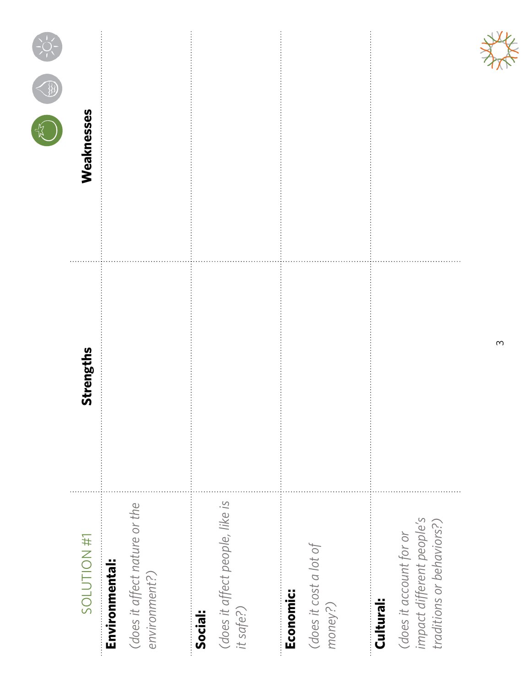| SOLUTION #1                                                                                    | Strengths | Weaknesses |
|------------------------------------------------------------------------------------------------|-----------|------------|
| (does it affect nature or the<br>Environmental:<br>environment?)                               |           |            |
| (does it affect people, like is<br>it safe?)<br>Social:                                        |           |            |
| (does it cost a lot of<br>Economic:<br>money?)                                                 |           |            |
| impact different people's<br>traditions or behaviors?)<br>(does it account for or<br>Cultural: |           |            |

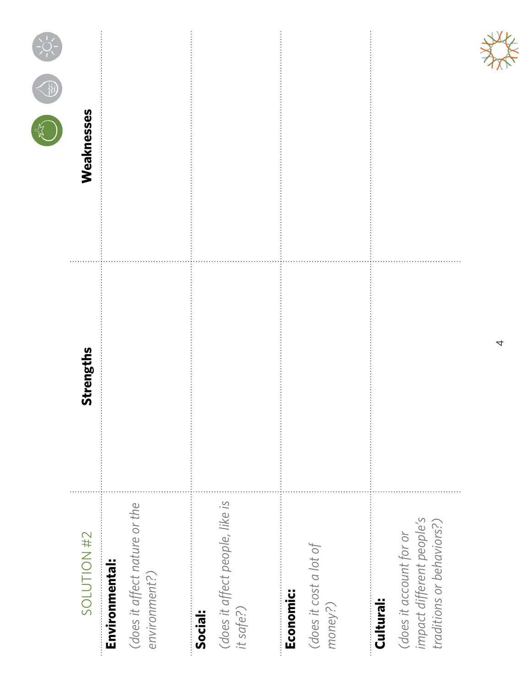| SOLUTION #2                                                                                    | Strengths | Weaknesses |
|------------------------------------------------------------------------------------------------|-----------|------------|
| (does it affect nature or the<br>Environmental:<br>environment?)                               |           |            |
| (does it affect people, like is<br>it safe?)<br>Social:                                        |           |            |
| (does it cost a lot of<br>Economic:<br>money?)                                                 |           |            |
| impact different people's<br>traditions or behaviors?)<br>(does it account for or<br>Cultural: |           |            |